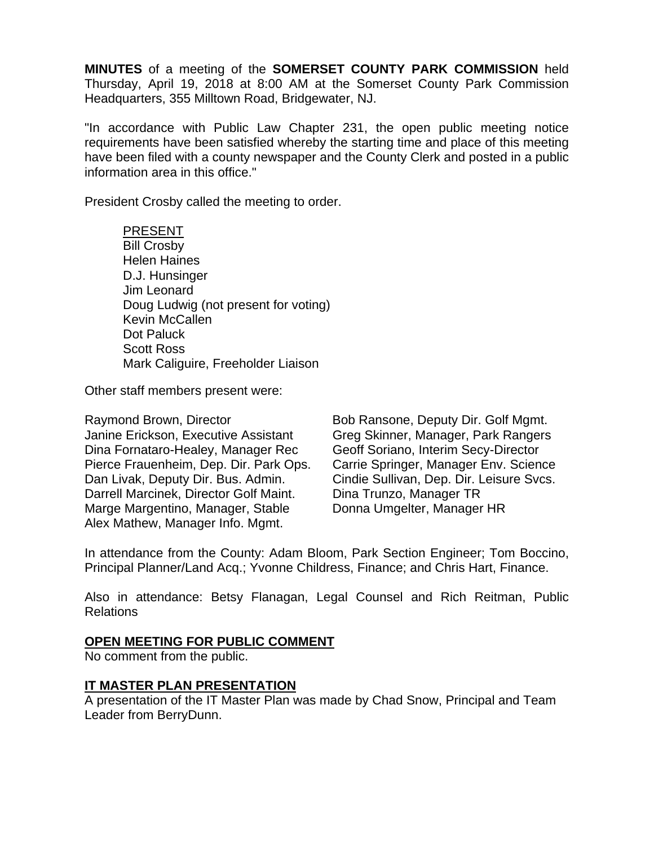**MINUTES** of a meeting of the **SOMERSET COUNTY PARK COMMISSION** held Thursday, April 19, 2018 at 8:00 AM at the Somerset County Park Commission Headquarters, 355 Milltown Road, Bridgewater, NJ.

"In accordance with Public Law Chapter 231, the open public meeting notice requirements have been satisfied whereby the starting time and place of this meeting have been filed with a county newspaper and the County Clerk and posted in a public information area in this office."

President Crosby called the meeting to order.

PRESENT Bill Crosby Helen Haines D.J. Hunsinger Jim Leonard Doug Ludwig (not present for voting) Kevin McCallen Dot Paluck Scott Ross Mark Caliguire, Freeholder Liaison

Other staff members present were:

Raymond Brown, Director Bob Ransone, Deputy Dir. Golf Mgmt. Janine Erickson, Executive Assistant Greg Skinner, Manager, Park Rangers Dina Fornataro-Healey, Manager Rec Geoff Soriano, Interim Secy-Director Pierce Frauenheim, Dep. Dir. Park Ops. Carrie Springer, Manager Env. Science Dan Livak, Deputy Dir. Bus. Admin. Cindie Sullivan, Dep. Dir. Leisure Svcs. Darrell Marcinek, Director Golf Maint. Dina Trunzo, Manager TR Marge Margentino, Manager, Stable Donna Umgelter, Manager HR Alex Mathew, Manager Info. Mgmt.

In attendance from the County: Adam Bloom, Park Section Engineer; Tom Boccino, Principal Planner/Land Acq.; Yvonne Childress, Finance; and Chris Hart, Finance.

Also in attendance: Betsy Flanagan, Legal Counsel and Rich Reitman, Public Relations

### **OPEN MEETING FOR PUBLIC COMMENT**

No comment from the public.

### **IT MASTER PLAN PRESENTATION**

A presentation of the IT Master Plan was made by Chad Snow, Principal and Team Leader from BerryDunn.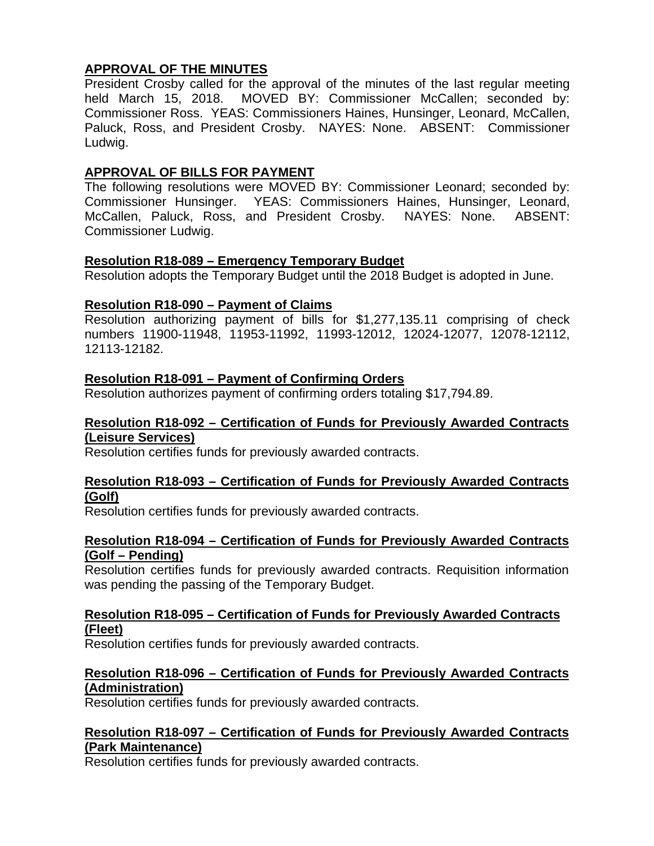## **APPROVAL OF THE MINUTES**

President Crosby called for the approval of the minutes of the last regular meeting held March 15, 2018. MOVED BY: Commissioner McCallen; seconded by: Commissioner Ross. YEAS: Commissioners Haines, Hunsinger, Leonard, McCallen, Paluck, Ross, and President Crosby. NAYES: None. ABSENT: Commissioner Ludwig.

# **APPROVAL OF BILLS FOR PAYMENT**

The following resolutions were MOVED BY: Commissioner Leonard; seconded by: Commissioner Hunsinger. YEAS: Commissioners Haines, Hunsinger, Leonard, McCallen, Paluck, Ross, and President Crosby. NAYES: None. ABSENT: Commissioner Ludwig.

## **Resolution R18-089 – Emergency Temporary Budget**

Resolution adopts the Temporary Budget until the 2018 Budget is adopted in June.

# **Resolution R18-090 – Payment of Claims**

Resolution authorizing payment of bills for \$1,277,135.11 comprising of check numbers 11900-11948, 11953-11992, 11993-12012, 12024-12077, 12078-12112, 12113-12182.

# **Resolution R18-091 – Payment of Confirming Orders**

Resolution authorizes payment of confirming orders totaling \$17,794.89.

### **Resolution R18-092 – Certification of Funds for Previously Awarded Contracts (Leisure Services)**

Resolution certifies funds for previously awarded contracts.

### **Resolution R18-093 – Certification of Funds for Previously Awarded Contracts (Golf)**

Resolution certifies funds for previously awarded contracts.

## **Resolution R18-094 – Certification of Funds for Previously Awarded Contracts (Golf – Pending)**

Resolution certifies funds for previously awarded contracts. Requisition information was pending the passing of the Temporary Budget.

## **Resolution R18-095 – Certification of Funds for Previously Awarded Contracts (Fleet)**

Resolution certifies funds for previously awarded contracts.

## **Resolution R18-096 – Certification of Funds for Previously Awarded Contracts (Administration)**

Resolution certifies funds for previously awarded contracts.

### **Resolution R18-097 – Certification of Funds for Previously Awarded Contracts (Park Maintenance)**

Resolution certifies funds for previously awarded contracts.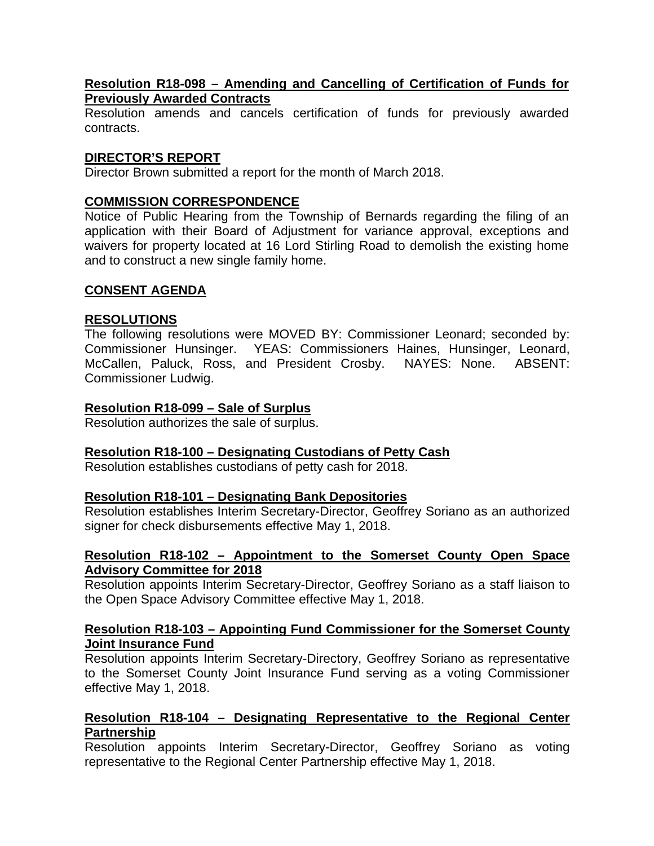#### **Resolution R18-098 – Amending and Cancelling of Certification of Funds for Previously Awarded Contracts**

Resolution amends and cancels certification of funds for previously awarded contracts.

### **DIRECTOR'S REPORT**

Director Brown submitted a report for the month of March 2018.

## **COMMISSION CORRESPONDENCE**

Notice of Public Hearing from the Township of Bernards regarding the filing of an application with their Board of Adjustment for variance approval, exceptions and waivers for property located at 16 Lord Stirling Road to demolish the existing home and to construct a new single family home.

### **CONSENT AGENDA**

## **RESOLUTIONS**

The following resolutions were MOVED BY: Commissioner Leonard; seconded by: Commissioner Hunsinger. YEAS: Commissioners Haines, Hunsinger, Leonard, McCallen, Paluck, Ross, and President Crosby. NAYES: None. ABSENT: Commissioner Ludwig.

## **Resolution R18-099 – Sale of Surplus**

Resolution authorizes the sale of surplus.

### **Resolution R18-100 – Designating Custodians of Petty Cash**

Resolution establishes custodians of petty cash for 2018.

### **Resolution R18-101 – Designating Bank Depositories**

Resolution establishes Interim Secretary-Director, Geoffrey Soriano as an authorized signer for check disbursements effective May 1, 2018.

#### **Resolution R18-102 – Appointment to the Somerset County Open Space Advisory Committee for 2018**

Resolution appoints Interim Secretary-Director, Geoffrey Soriano as a staff liaison to the Open Space Advisory Committee effective May 1, 2018.

### **Resolution R18-103 – Appointing Fund Commissioner for the Somerset County Joint Insurance Fund**

Resolution appoints Interim Secretary-Directory, Geoffrey Soriano as representative to the Somerset County Joint Insurance Fund serving as a voting Commissioner effective May 1, 2018.

## **Resolution R18-104 – Designating Representative to the Regional Center Partnership**

Resolution appoints Interim Secretary-Director, Geoffrey Soriano as voting representative to the Regional Center Partnership effective May 1, 2018.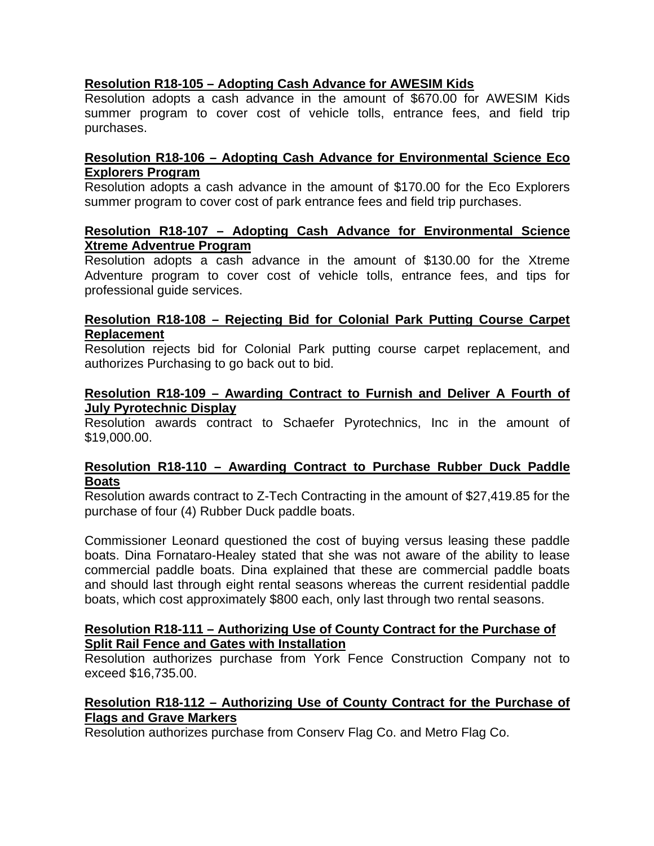# **Resolution R18-105 – Adopting Cash Advance for AWESIM Kids**

Resolution adopts a cash advance in the amount of \$670.00 for AWESIM Kids summer program to cover cost of vehicle tolls, entrance fees, and field trip purchases.

## **Resolution R18-106 – Adopting Cash Advance for Environmental Science Eco Explorers Program**

Resolution adopts a cash advance in the amount of \$170.00 for the Eco Explorers summer program to cover cost of park entrance fees and field trip purchases.

#### **Resolution R18-107 – Adopting Cash Advance for Environmental Science Xtreme Adventrue Program**

Resolution adopts a cash advance in the amount of \$130.00 for the Xtreme Adventure program to cover cost of vehicle tolls, entrance fees, and tips for professional guide services.

## **Resolution R18-108** *–* **Rejecting Bid for Colonial Park Putting Course Carpet Replacement**

Resolution rejects bid for Colonial Park putting course carpet replacement, and authorizes Purchasing to go back out to bid.

### **Resolution R18-109 – Awarding Contract to Furnish and Deliver A Fourth of July Pyrotechnic Display**

Resolution awards contract to Schaefer Pyrotechnics, Inc in the amount of \$19,000.00.

### **Resolution R18-110 – Awarding Contract to Purchase Rubber Duck Paddle Boats**

Resolution awards contract to Z-Tech Contracting in the amount of \$27,419.85 for the purchase of four (4) Rubber Duck paddle boats.

Commissioner Leonard questioned the cost of buying versus leasing these paddle boats. Dina Fornataro-Healey stated that she was not aware of the ability to lease commercial paddle boats. Dina explained that these are commercial paddle boats and should last through eight rental seasons whereas the current residential paddle boats, which cost approximately \$800 each, only last through two rental seasons.

#### **Resolution R18-111 – Authorizing Use of County Contract for the Purchase of Split Rail Fence and Gates with Installation**

Resolution authorizes purchase from York Fence Construction Company not to exceed \$16,735.00.

## **Resolution R18-112 – Authorizing Use of County Contract for the Purchase of Flags and Grave Markers**

Resolution authorizes purchase from Conserv Flag Co. and Metro Flag Co.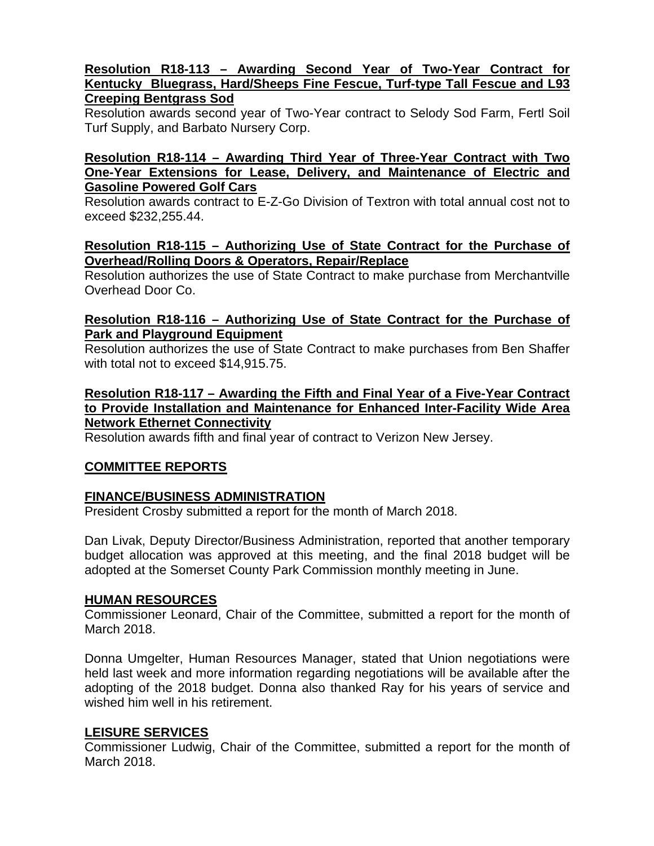#### **Resolution R18-113 – Awarding Second Year of Two-Year Contract for Kentucky Bluegrass, Hard/Sheeps Fine Fescue, Turf-type Tall Fescue and L93 Creeping Bentgrass Sod**

Resolution awards second year of Two-Year contract to Selody Sod Farm, Fertl Soil Turf Supply, and Barbato Nursery Corp.

#### **Resolution R18-114 – Awarding Third Year of Three-Year Contract with Two One-Year Extensions for Lease, Delivery, and Maintenance of Electric and Gasoline Powered Golf Cars**

Resolution awards contract to E-Z-Go Division of Textron with total annual cost not to exceed \$232,255.44.

### **Resolution R18-115 – Authorizing Use of State Contract for the Purchase of Overhead/Rolling Doors & Operators, Repair/Replace**

Resolution authorizes the use of State Contract to make purchase from Merchantville Overhead Door Co.

## **Resolution R18-116 – Authorizing Use of State Contract for the Purchase of Park and Playground Equipment**

Resolution authorizes the use of State Contract to make purchases from Ben Shaffer with total not to exceed \$14,915.75.

## **Resolution R18-117 – Awarding the Fifth and Final Year of a Five-Year Contract to Provide Installation and Maintenance for Enhanced Inter-Facility Wide Area Network Ethernet Connectivity**

Resolution awards fifth and final year of contract to Verizon New Jersey.

# **COMMITTEE REPORTS**

# **FINANCE/BUSINESS ADMINISTRATION**

President Crosby submitted a report for the month of March 2018.

Dan Livak, Deputy Director/Business Administration, reported that another temporary budget allocation was approved at this meeting, and the final 2018 budget will be adopted at the Somerset County Park Commission monthly meeting in June.

### **HUMAN RESOURCES**

Commissioner Leonard, Chair of the Committee, submitted a report for the month of March 2018.

Donna Umgelter, Human Resources Manager, stated that Union negotiations were held last week and more information regarding negotiations will be available after the adopting of the 2018 budget. Donna also thanked Ray for his years of service and wished him well in his retirement.

# **LEISURE SERVICES**

Commissioner Ludwig, Chair of the Committee, submitted a report for the month of March 2018.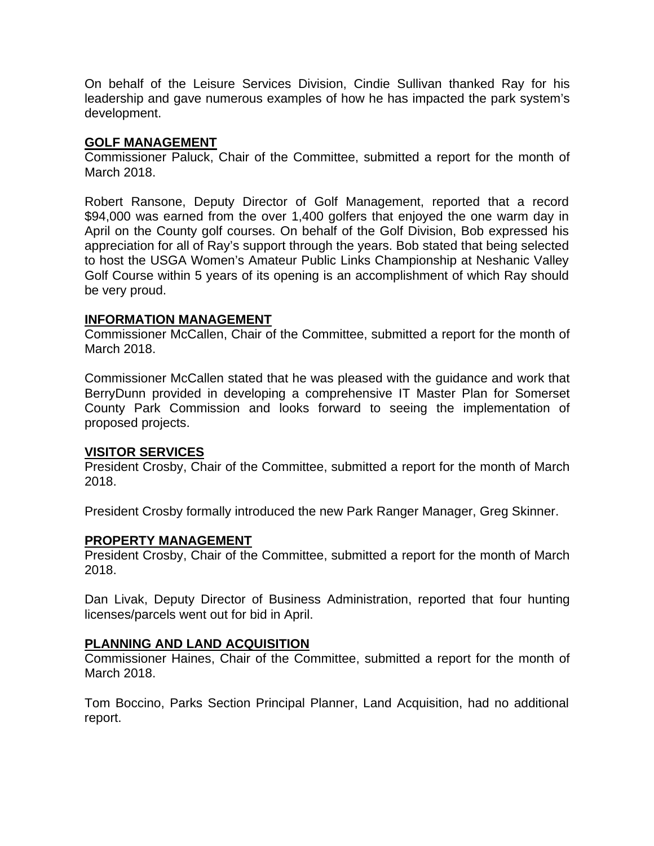On behalf of the Leisure Services Division, Cindie Sullivan thanked Ray for his leadership and gave numerous examples of how he has impacted the park system's development.

#### **GOLF MANAGEMENT**

Commissioner Paluck, Chair of the Committee, submitted a report for the month of March 2018.

Robert Ransone, Deputy Director of Golf Management, reported that a record \$94,000 was earned from the over 1,400 golfers that enjoyed the one warm day in April on the County golf courses. On behalf of the Golf Division, Bob expressed his appreciation for all of Ray's support through the years. Bob stated that being selected to host the USGA Women's Amateur Public Links Championship at Neshanic Valley Golf Course within 5 years of its opening is an accomplishment of which Ray should be very proud.

### **INFORMATION MANAGEMENT**

Commissioner McCallen, Chair of the Committee, submitted a report for the month of March 2018.

Commissioner McCallen stated that he was pleased with the guidance and work that BerryDunn provided in developing a comprehensive IT Master Plan for Somerset County Park Commission and looks forward to seeing the implementation of proposed projects.

### **VISITOR SERVICES**

President Crosby, Chair of the Committee, submitted a report for the month of March 2018.

President Crosby formally introduced the new Park Ranger Manager, Greg Skinner.

# **PROPERTY MANAGEMENT**

President Crosby, Chair of the Committee, submitted a report for the month of March 2018.

Dan Livak, Deputy Director of Business Administration, reported that four hunting licenses/parcels went out for bid in April.

### **PLANNING AND LAND ACQUISITION**

Commissioner Haines, Chair of the Committee, submitted a report for the month of March 2018.

Tom Boccino, Parks Section Principal Planner, Land Acquisition, had no additional report.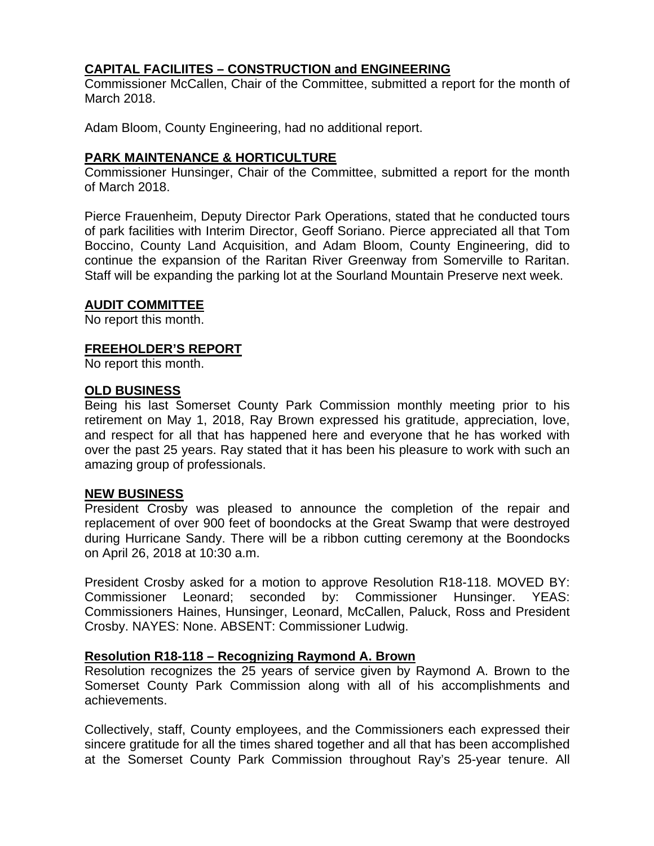# **CAPITAL FACILIITES – CONSTRUCTION and ENGINEERING**

Commissioner McCallen, Chair of the Committee, submitted a report for the month of March 2018.

Adam Bloom, County Engineering, had no additional report.

### **PARK MAINTENANCE & HORTICULTURE**

Commissioner Hunsinger, Chair of the Committee, submitted a report for the month of March 2018.

Pierce Frauenheim, Deputy Director Park Operations, stated that he conducted tours of park facilities with Interim Director, Geoff Soriano. Pierce appreciated all that Tom Boccino, County Land Acquisition, and Adam Bloom, County Engineering, did to continue the expansion of the Raritan River Greenway from Somerville to Raritan. Staff will be expanding the parking lot at the Sourland Mountain Preserve next week.

#### **AUDIT COMMITTEE**

No report this month.

#### **FREEHOLDER'S REPORT**

No report this month.

#### **OLD BUSINESS**

Being his last Somerset County Park Commission monthly meeting prior to his retirement on May 1, 2018, Ray Brown expressed his gratitude, appreciation, love, and respect for all that has happened here and everyone that he has worked with over the past 25 years. Ray stated that it has been his pleasure to work with such an amazing group of professionals.

#### **NEW BUSINESS**

President Crosby was pleased to announce the completion of the repair and replacement of over 900 feet of boondocks at the Great Swamp that were destroyed during Hurricane Sandy. There will be a ribbon cutting ceremony at the Boondocks on April 26, 2018 at 10:30 a.m.

President Crosby asked for a motion to approve Resolution R18-118. MOVED BY: Commissioner Leonard; seconded by: Commissioner Hunsinger. YEAS: Commissioners Haines, Hunsinger, Leonard, McCallen, Paluck, Ross and President Crosby. NAYES: None. ABSENT: Commissioner Ludwig.

### **Resolution R18-118 – Recognizing Raymond A. Brown**

Resolution recognizes the 25 years of service given by Raymond A. Brown to the Somerset County Park Commission along with all of his accomplishments and achievements.

Collectively, staff, County employees, and the Commissioners each expressed their sincere gratitude for all the times shared together and all that has been accomplished at the Somerset County Park Commission throughout Ray's 25-year tenure. All